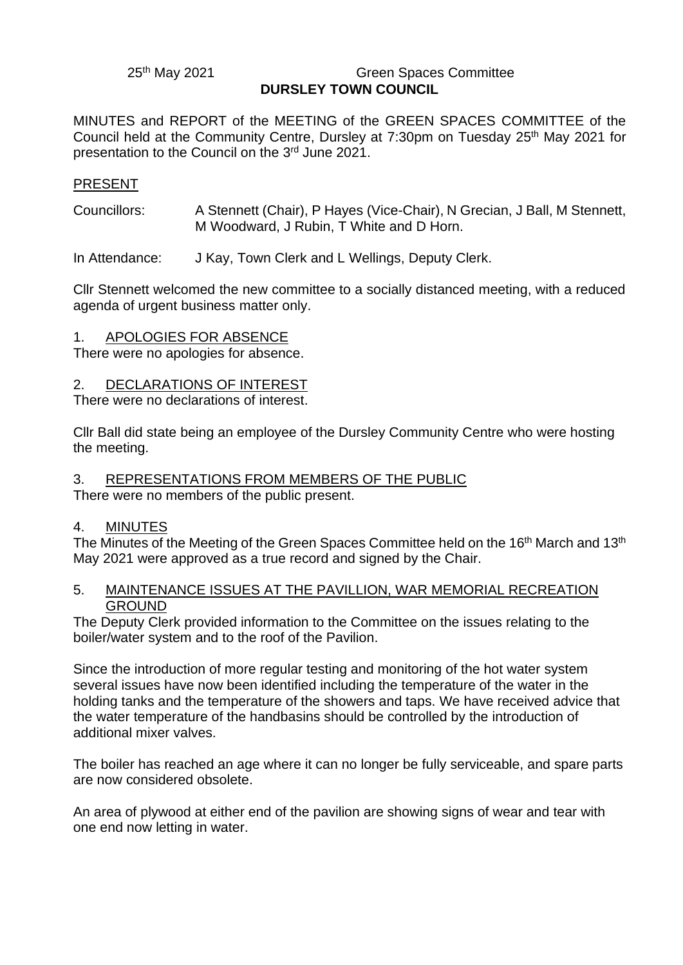25th May 2021

#### **Green Spaces Committee DURSLEY TOWN COUNCIL**

MINUTES and REPORT of the MEETING of the GREEN SPACES COMMITTEE of the Council held at the Community Centre, Dursley at 7:30pm on Tuesday 25<sup>th</sup> May 2021 for presentation to the Council on the 3<sup>rd</sup> June 2021.

## PRESENT

Councillors: A Stennett (Chair), P Hayes (Vice-Chair), N Grecian, J Ball, M Stennett, M Woodward, J Rubin, T White and D Horn.

In Attendance: J Kay, Town Clerk and L Wellings, Deputy Clerk.

Cllr Stennett welcomed the new committee to a socially distanced meeting, with a reduced agenda of urgent business matter only.

## 1. APOLOGIES FOR ABSENCE

There were no apologies for absence.

# 2. DECLARATIONS OF INTEREST

There were no declarations of interest.

Cllr Ball did state being an employee of the Dursley Community Centre who were hosting the meeting.

#### 3. REPRESENTATIONS FROM MEMBERS OF THE PUBLIC

There were no members of the public present.

## 4. MINUTES

The Minutes of the Meeting of the Green Spaces Committee held on the 16<sup>th</sup> March and 13<sup>th</sup> May 2021 were approved as a true record and signed by the Chair.

## 5. MAINTENANCE ISSUES AT THE PAVILLION, WAR MEMORIAL RECREATION GROUND

The Deputy Clerk provided information to the Committee on the issues relating to the boiler/water system and to the roof of the Pavilion.

Since the introduction of more regular testing and monitoring of the hot water system several issues have now been identified including the temperature of the water in the holding tanks and the temperature of the showers and taps. We have received advice that the water temperature of the handbasins should be controlled by the introduction of additional mixer valves.

The boiler has reached an age where it can no longer be fully serviceable, and spare parts are now considered obsolete.

An area of plywood at either end of the pavilion are showing signs of wear and tear with one end now letting in water.